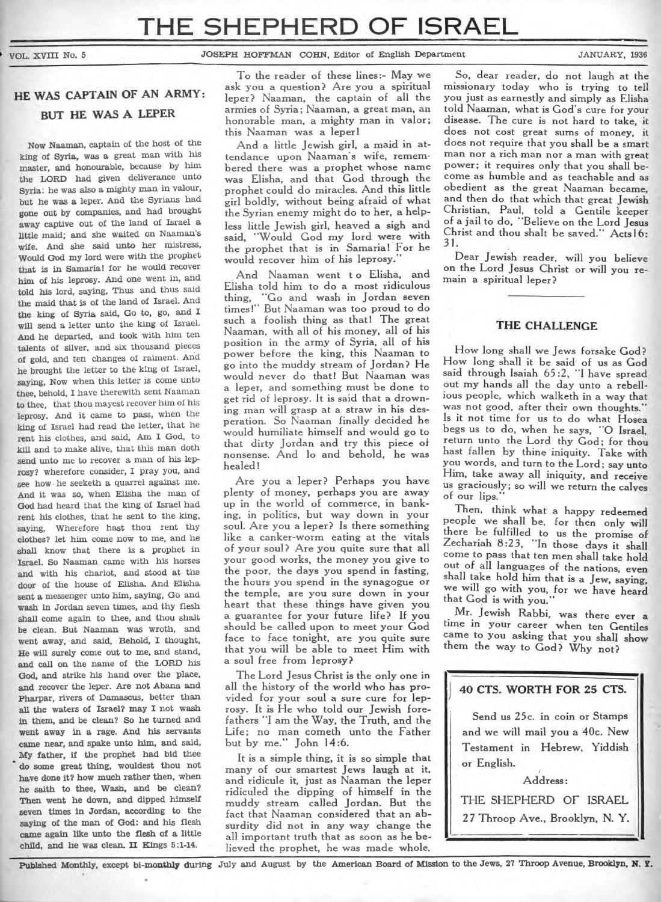#### **VOL.** XVIII No. 5 JOSEPH HOFFMAN COHN, Editor of English Department JANUARY, 1936

# **HE WAS CAPTAIN OF AN ARMY: BUT HE WAS A LEPER**

Now Naaman, captain of the host of the king of Syria, was a great man with his master, and honourable, because by him the LORD had given deliverance unto Syria: he was also a mighty man in valour, but he was a leper. And the Syrians had gone out by companies, and had brought away captive out of the land of Israel a little maid; and she waited on Naaman's wife. And she said unto her mistress, Would God my lord were with the prophet that is in Samaria! for he would recover him of his leprosy. And one went in, and told his lord, saying, Thus and thus said the maid that is of the land of Israel. And the king of Syria said, Go to, go, and **I**  will send a letter unto the king of Israel. And he departed, and took with him ten talents of silver, and six thousand pieces of gold, and ten changes of raiment. And he brought the letter to the king of Israel, saying, Now when this letter is come unto thee, behold, I have therewith sent Naaman to thee, that thou mayest recover him of his leprosy. And it came to pass, when the king of Israel had read the letter, that he rent his clothes, and said, Am I God, to kill and to make alive, that this man doth send unto me to recover a man of his leprosy? wherefore consider, I pray you, and see how he seeketh a quarrel against me. And it was so, when Elisha the man of God had heard that the king of Israel had rent his clothes, that he sent to the king, saying, Wherefore hast thou rent thy clothes? let him come now to me, and he shall know that there is a prophet in Israel. So Naaman came with his horses and with his chariot, and stood at the door of the house of Flisha.And Elisha sent a messenger unto him, saying, Go and wash in Jordan seven times, and thy flesh shall come again to thee, and thou shalt be clean. But Naaman was wroth, and went away, and said, Behold, **I** thought, He will surely come out to me, and stand, and call on the name of the LORD his God, and strike his hand over the place, **and recover** the leper. Are not Abana and Pharpar, rivers of Damascus, better than all the waters of Israel? may I not wash in them, and be clean? So he turned **and went away in a rage. And his servants came near, and spake unto him, and said, My father, if the prophet had bid thee do some great thing, wouldest thou not have done it? how much rather then, when he saith to thee, Wash, and be clean? Then went he down, and dipped himself seven times in Jordan, according to the saying of the man of God: and his flesh came again like unto the flesh of a little**  child, and he was clean. **II** Kings 5:1-14.

To the reader of these lines:- May we ask you a question? Are you a spiritual leper? Naaman, the captain of all the armies of Syria; Naaman, a great man, an honorable man, a mighty man in valor; this Naaman was a leper!

And a little Jewish girl, a maid in attendance upon Naaman's wife, remembered there was a prophet whose name was Elisha, and that God through the prophet could do miracles. And this little girl boldly, without being afraid of what the Syrian enemy might do to her, a helpless little Jewish girl, heaved a sigh and said, "Would God my lord were with the prophet that is in Samaria! For he would recover him of his leprosy.'

And Naaman went t o Elisha, and Elisha told him to do a most ridiculous thing, "Go and wash in Jordan seven times!" But Naaman was too proud to do such a foolish thing as that! The great Naaman, with all of his money, all of his position in the army of Syria, all of his power before the king, this Naaman to go into the muddy stream of Jordan? He would never do that! But Naaman was a leper, and something must be done to get rid of leprosy. It is said that a drowning man will grasp at a straw in his desperation. So Naaman finally decided he would humiliate himself and would go to that dirty Jordan and try this piece of nonsense. And lo and behold, he was healed I

Are you a leper? Perhaps you have plenty of money, perhaps you are away up in the world of commerce, in banking, in politics, but way down in your soul. Are you a leper? Is there something like a canker-worm eating at the vitals of your soul? Are you quite sure that all your good works, the money you give to the poor, the days you spend in fasting, the hours you spend in the synagogue or the temple, are you sure down in your heart that these things have given you a guarantee for your future life? If you should be called upon to meet **your** God face to face tonight, are you quite sure that you will be able to meet Him with a soul free from leprosy?

The Lord Jesus Christ is the only one **in**  all the history of the world who has provided for your soul a sure cure for leprosy. It is He who told our Jewish forefathers "I am the Way, the Truth, and the Life; no man cometh unto the Father but by me." John 14:6.

It is a simple thing, it is so simple that many of our smartest Jews laugh at it, and ridicule it, just as Naaman the leper ridiculed the dipping of himself in the muddy stream called Jordan. But the fact that Naaman considered that an absurdity did not in any way change the all important truth that as soon as he believed the prophet, he was made whole.

So, dear reader, do not laugh at the missionary today who is trying to tell you just as earnestly and simply as Elisha told Naaman, what is God's cure for your disease. The cure is not hard to take, it does not cost great sums of money, it does not require that you shall be a smart man nor a rich man nor a man with great power; it requires only that you shall become as humble and as teachable and as obedient as the great Naaman became, and then do that which that great Jewish Christian, Paul, told a Gentile keeper of a jail to do, "Believe on the Lord Jesus Christ and thou shalt be saved." Acts16: 31.

Dear Jewish reader, will you believe on the Lord Jesus Christ or will you remain a spiritual leper?

## **THE CHALLENGE**

How long shall we Jews forsake God? How long shall it be said of us as God said through Isaiah 65:2, "I have spread out my hands all the day unto a rebellious people, which walketh in a way that was not good, after their own thoughts." Is it not time for us to do what Hosea begs us to do, when he says, **-0** Israel, return unto the Lord thy God; for thou hast fallen by thine iniquity. Take with you words, and turn to the Lord; say unto Him, take away all iniquity, and receive us graciously; so will we return the **calves**  of our lips."

Then, think what a happy redeemed people we shall be, for then only will there be fulfilled to us the promise of Zechariah 8:23, "In those days it shall come to pass that ten men shall take hold out of all languages of the nations, even shall take hold him that is a Jew, saying, we will go with you, for we have heard that God is with you."

Mr. Jewish Rabbi, was there ever a time in your career when ten Gentiles came to you asking that you shall show them the way to God? Why **not?** 

## **J 40 CTS. WORTH FOR 25 CTS.**

Send us 25c. in coin or Stamps and we will mail you a 40c. New Testament in Hebrew, Yiddish or English.

Address: THE SHEPHERD OF ISRAEL 27 Throop Ave., Brooklyn, N. Y.

**Pubished Monthly, except bi-monthly during July and August by the American Board of Mission to the Jews, 27 Throop Avenue, Brooklyn, N. Y.**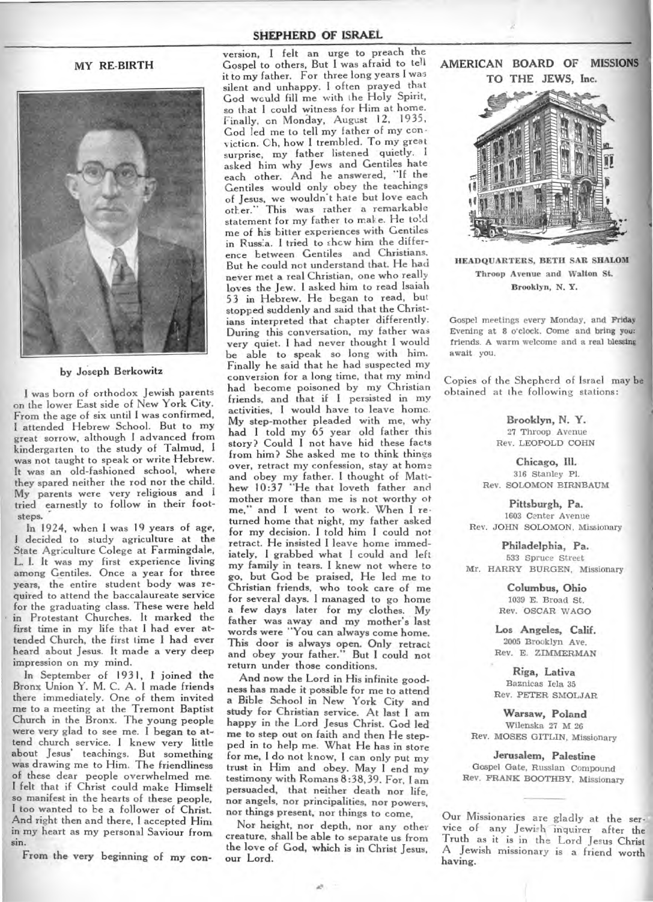#### MY RE-BIRTH



#### by Joseph Berkowitz

I was born of orthodox Jewish parents on the lower East side of New York City. From the age of six until I was confirmed, I attended Hebrew School. But to my great sorrow, although I advanced from kindergarten to the study of Talmud, I was not taught to speak or write Hebrew. It was an old-fashioned school, where they spared neither the rod nor the child. My parents were very religious and I tried earnestly to follow in their footsteps.

In 1924, when I was 19 years of age, I decided to study agriculture at the State Agriculture Colege at Farmingdale, L. I. It was my first experience living among Gentiles. Once a year for three years, the entire student body was required to attend the baccalaureate service for the graduating class. These were held in Protestant Churches. It marked the first time in my life that I had ever attended Church, the first time I had ever heard about Jesus. It made a very deep impression on my mind.

In September of 1931, **I** joined the Bronx Union Y. M. C. A. I made friends there immediately. One of them invited me to a meeting at the Tremont Baptist Church in the Bronx. The young people were very glad to see me. I began to attend church service. I knew very little about Jesus' teachings. But something was drawing me to Him. The friendliness of these dear people overwhelmed me. I felt that if Christ could make Himselfso manifest in the hearts of these people, I too wanted to be a follower of Christ. And right then and there, I accepted Him in my heart as my personal Saviour from sin.

From the very beginning of my con-

### **SHEPHERD OF ISRAEL**

version, **I** felt an urge to preach the Gospel to others, But I was afraid to tell it to my father. For three long years I was silent and unhappy. I often prayed that God would fill me with the Holy Spirit, so that I could witness for Him at home. Finally, on Monday, August 12, 1935, God led me to tell my father of my con • icticn. Oh, how **I** trembled. To my great surprise, my father listened quietly. I asked him why Jews and Gentiles hate each other. And he answered, "If the Gentiles would only obey the teachings of Jesus, we wouldn't hate but love each other." This was rather a remarkable statement for my father to make. He told me of his bitter experiences with Gentiles in Russia. I tried to show him the difference between Gentiles and Christians. But he could not understand that. He had never met a real Christian, one who really loves the Jew. I asked him to read Isaiah 53 in Hebrew. He began to read, but stopped suddenly and said that the Christians interpreted that chapter differently. During this conversation, my father was very quiet. I had never thought 1 would be able to speak so long with him. Finally he said that he had suspected my conversion for a long time, that my mind had become poisoned by my Christian friends, and that if **I** persisted in my activities, I would have to leave home. My step-mother pleaded with me, why had I told my 65 year old father this story? Could **I** not have hid these facts from him? She asked me to think things over, retract my confession, stay at home and obey my father. I thought of Matthew 10:37 "He that loveth father and mother more than me is not worthy of me," and I went to work. When I returned home that night, my father asked for my decision. I told him I could not retract. He insisted I leave home immediately, I grabbed what I could and left my family in tears. I knew not where to go, but God be praised, He led me to Christian friends, who took care of me for several days. I managed to go home a few days later for my clothes. My father was away and my mother's last words were "You can always come home. This door is always open. Only retract and obey your father." But I could not return under those conditions.

And now the Lord in His infinite goodness has made it possible for me to attend a Bible School in New York City and study for Christian service. At last I am happy in the Lord Jesus Christ. God led me to step out on faith and then He stepped in to help me. What He has in store for me, I do not know, **I** can only put my trust in Him and obey. May I end my testimony with Romans 8:38,39. For, I am persuaded, that neither death nor life, nor angels, nor principalities, nor powers, nor things present, nor things to come,

Nor height, nor depth, nor any other creature, shall be able to separate us from the love of God, which is in Christ Jesus, our Lord.

**AMERICAN BOARD OF MISSIONS TO THE JEWS, Inc.** 



HEADQUARTERS, BETH SAR SHALOM Throop Avenue and Walton St. Brooklyn, N. Y.

Gospel meetings every Monday, and Friday Evening at 8 o'clock. Come and bring you: friends. A warm welcome and a real blessing await you.

Copies of the Shepherd of Israel may be obtained at the following stations:

> **Brooklyn, N. Y.**  27 Throop Avenue Rev. LEOPOLD COHN

**Chicago, Ill.**  316 Stanley P1. Rev. SOLOMON BIRNBAUM

**Pittsburgh, Pa.**  1603 Center Avenue Rev. JOHN SOLOMON, Missionary

**Philadelphia, Pa.**  533 Spruce Street Mr. HARRY BURGEN, Missionary

> **Columbus, Ohio**  1039 B. Broad St. Rev. OSCAR WAGO

**Los Angeles, Calif.**  2005 Brooklyn Ave. Rev. E. ZIMMERMAN

**Riga, Lativa**  Baznicas Iela 35 Rev. PETER SMOLJAR

**Warsaw, Poland**  Wilenska 27 M 26 Rev. MOSES GITLIN, Missionary

**Jerusalem, Palestine**  Gospel Gate, Russian Compound Rev. FRANK BOOTHBY, Missionary

having. Our Missionaries are gladly at the ser-Truth as it is in the Lord Jesus Christ A Jewish missionary is a friend worth vice of any Jewish inquirer after the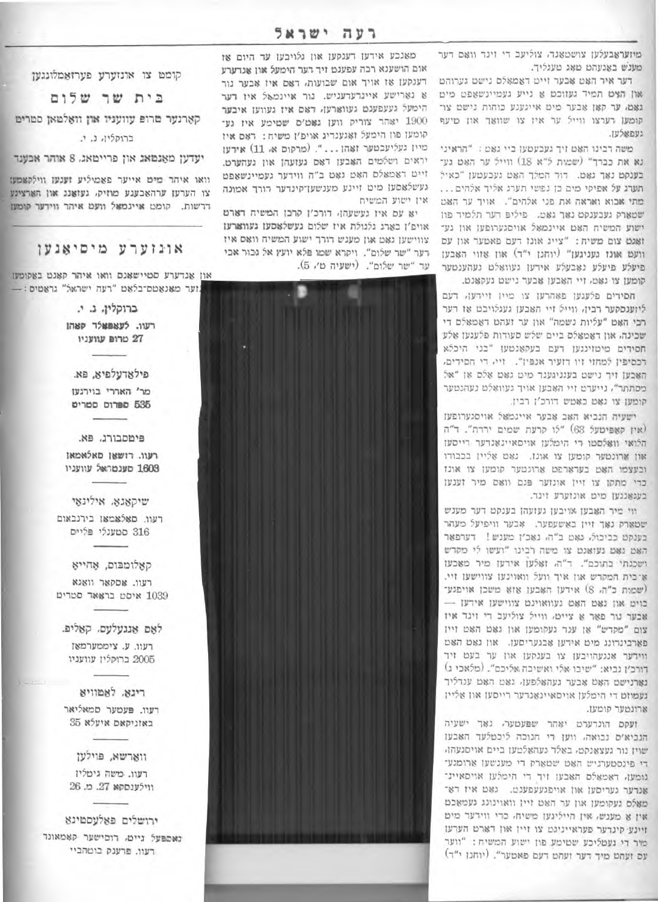מיזעראבעלען צושטאנד, צוליעב די זינד וואם דער מענש באגעהם מאג מעגליך.

דער איר האט אבער זייט דאמאלם נישט גערוהט און הצט תמיד געווכט א נייע געמיינשאפט מיט גאָמ. ער קאן אָבער מיט אייגענע כוחות נישט צו־ קומען רערצו ווייל ער איז צו שוואר און מיעף נשפאלעו.

משה רבינו האט זיך געבעטען ביי גאט: "הראיני נא את כבדד" (שמות ל"א 18) ווייל ער האט גע־ בענקט נאר גאט. דוד המלך האט געבעטען "כאיל תערג על אפיקי מים כן נפשי תערג אליך אלהים... מתי אבוא ואראה את פני אלהים". אויך ער האט שטארק נעבענקט נאך גאט. פיליפ דער תלמיד פון ישוע המשיח האם איינמאל אויסגערופען און גע־ זאגם צום משיה: "צייג אונז רעם פאטער און עם וועם אונז געניגען" (יוחנן י"ר) און אזוי האבען פיעלע פיעלע נאָבעלע אירען געוואַלט נעהענטער קומען צו גאט. זיי האבען אבער נישם געקאנט.

חסירים פלעגען פאהרען צו מיין זיירען. דעם ליוענסקער רבין, ווייל זיי האבען געגלויבט אז רער רבי האם "עליות נשמה" און ער זעהם דאמאלם די שכינה, און ראמאלם ביים שלש סעודות פלעגען אלע חסידים מיטזינגען דעם בעקאנטען "בני היכלא דכסיפין למחזי זיו דזעיר אנפיז". זיי, די הסידים, האבען זיך נישט בענניגענד מיט גאט אלס אן "אל מסתתר", נייערט זיי האבען אויך געוואלט נעהנטער קומען צו נאט כאטש דורכ'ן רבין.

ישעיה הנביא האב אבער איינמאל אויסגערופען (אין קאפיטעל 63) "לו קרעת שמים ירדת". ד"ה הלואי וואלסטו די הימלען אויסאיינאנדער רייסען און ארונטער קומען צו אונז. גאט אליין בכבודו ובעצמו האם בערארפם ארונטער קומען צו אונז כדי מתקן צו זיין אונזער פגם וואם מיר זענען בעגאנגען מיט אונזערע זינד.

ווי מיר האבען אויבען געועהן בענקט דער מענש שטארק נאך זיין באשעפער. אבער וויפיעל מעהר בענקט כביכול, נאט ב"ה, נאכ׳ן מענש! דערפאר האט גאט נעואגט צו משה לבינו "ועשו לי מקדש ושכנתי בתוכם". ד"ה, זאלען אידען מיר מאכען אַ־בּית המקדש און איך וועל וואוינען צווישען זיי. (שמות כ"ה, 8) אידען האבען אוא משכן אויפגע־ כוים און נאם האם נעוואוינם צווישען אידען – אבער נור פאר א צייט. ווייל צוליעב די זינד איז צום "מקדש" או ענד געקומען און גאם האם זייז פארבינרונג מים אידען אבגעריסען. און גאט האט ווידער אנגעהויבען צו בענקען און ער בעט זיד דורב׳ן נביא: "שיבו אלי ואשיבה אליכם". (מלאכי ג) נארנישם האם אבער געהאלפען. גאם האם ענדליך נעמוזט די הימלען אויסאיינאנדער רייסען און אליין ארונטער קומען.

ועקם הונדערט יאהר שפעטער, נאך ישעיה הנביא'ס נכואה, ווען רי חנוכה ליכטלעד האבען שוין נור געצאנקט. באלד געהאלטען ביים אויסגעהן. די פינסטערניש האט שטארק די מענשען ארומגע־ נומען, ראמאלם האבען זיך די הימלען אויסאיינ־ טנדער געריסען און אויפגעעפענט. גאט איז דא־ מאלם נעקומען און ער האט זיין וואוינונג נעמאכם אין א מענש, אין הייליגען משיח, כדי ווידער מיט זיינע קינדער פעראייניגט צו זייז און דארט הערעז מיר די נעמליכע שמימע פון ישוע המשיח: "ווער עם זעהט מיך דער זעהט דעם פאטער". (יוחנז י"ד)

מאנכע אידען דענקען און גלויבען עד היום אז אום הושענא רכה עפענט זיך רער הימעל און אנדערע דענקען או אויך אום שבועות, דאס איז אבער נור 8 נארישע איינרערעניש. נור איינמאל איז דער הימעל געעפענט געווארען, ראס איז געווען איבער 1900 יאהר צוריק ווען גאט׳ם שטימע איז גע־ קומען פון הימעל ואגענדיג אויפ'ן משיח: דאם אין מיין געליעבטער זאהן ... ". (מרקום א. 11) אירען יראים ושלמים האבען דאס געועהן און געהערט. זייט דאמאלם האט נאט ב"ה ווידער געמיינשאפט נעשלאסען מים זיינע מענשען־קינדער דורך אמונה אין ישוע המשיח

יא עם איז נעשעהן, דורכ׳ן קרבן המשיח דארם אויפ׳ו בארג גלגולת איז שלום געשלאסען געווארען צווישען גאָט און מענש דורך ישוע המשיח וואָס איז דער "שר שלום". ויקרא שמו פלא יועץ אל גבור אבי עד "שר שלום". (ישעיה מ׳, 5).

קומט צו אונזערע פערזאמלונגען

בית שר שלום

קארנער מרופ עוועניו און וואלמאן סמרים

ברוקליו, נ. י.

יעדען מאנמאג און פריימאג. 8 אוהר אבענד

וואו איהר מים אייער פאמיליע זענעז ווילקאמעו צו הערעו ערהאכענע מוזיק. נעואנג און הארציגע דרשות. קומט איינמאל וועט איהר ווידער קומעו

## אונוערע מיסיאנען

און אנדערע סטיישאנם וואו איהר קאנט באקומען ... מער מאנאמם־בלאט "רעה ישראל" גראטיס.

> ברוקלין, ג. י. רעוו. לעאפאלר קאהן

27 טרופ עוועניו

פילאדעלפיא, פא. מר' האררי בוירגען 535 ספרוס סמריט

פימסבורג. פא. רעוו. רזשאו מאלאמאו 1,603 סענטראל עוועניו

שיקאגא אילינאי

רעוו. םאלאמאו בירנבאום 316 סטענלי פליים

קאלומבום, אָהייא

רעוו. אסקאר וואגא

1039 איסט בראאד סטריט

לאם אנגעלעם. קאליפ.

רעוו. ע. ציממערמאז

2005 ברוקלין עוועניו

רינא. לאמוויא

רעוו. פעטער סמאליאר

באזניקאם איעלא 35

ווארשא, פוילען

רעוו. משה גיטליו

ווילענסקא 27. מ. 26

ירושלים פאלעסמינא

נאספעל ניים, רוסישער קאמאונד

רעוו. פרענק בוטהביי